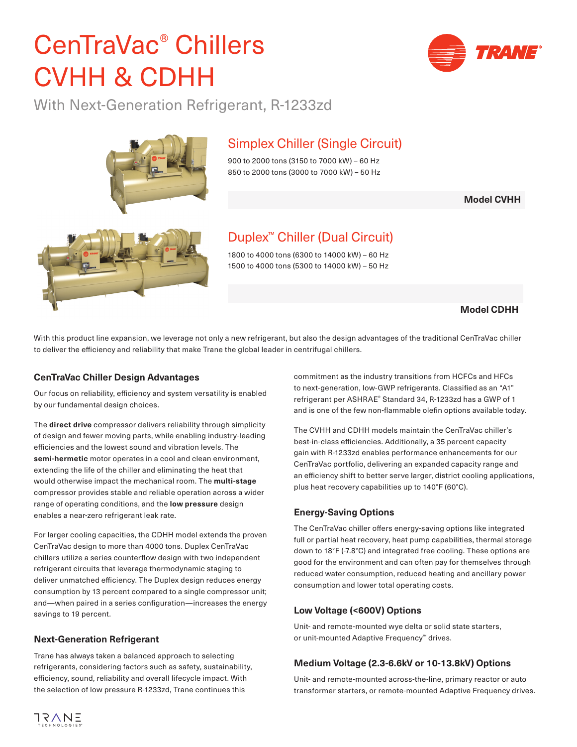## CenTraVac® Chillers CVHH & CDHH

With Next-Generation Refrigerant, R-1233zd

### Simplex Chiller (Single Circuit)

900 to 2000 tons (3150 to 7000 kW) – 60 Hz 850 to 2000 tons (3000 to 7000 kW) – 50 Hz

**Model CVHH**

Duplex™ Chiller (Dual Circuit)

1800 to 4000 tons (6300 to 14000 kW) – 60 Hz 1500 to 4000 tons (5300 to 14000 kW) – 50 Hz

#### **Model CDHH**

With this product line expansion, we leverage not only a new refrigerant, but also the design advantages of the traditional CenTraVac chiller to deliver the efficiency and reliability that make Trane the global leader in centrifugal chillers.

#### **CenTraVac Chiller Design Advantages**

Our focus on reliability, efficiency and system versatility is enabled by our fundamental design choices.

The **direct drive** compressor delivers reliability through simplicity of design and fewer moving parts, while enabling industry-leading efficiencies and the lowest sound and vibration levels. The **semi-hermetic** motor operates in a cool and clean environment, extending the life of the chiller and eliminating the heat that would otherwise impact the mechanical room. The **multi-stage** compressor provides stable and reliable operation across a wider range of operating conditions, and the **low pressure** design enables a near-zero refrigerant leak rate.

For larger cooling capacities, the CDHH model extends the proven CenTraVac design to more than 4000 tons. Duplex CenTraVac chillers utilize a series counterflow design with two independent refrigerant circuits that leverage thermodynamic staging to deliver unmatched efficiency. The Duplex design reduces energy consumption by 13 percent compared to a single compressor unit; and—when paired in a series configuration—increases the energy savings to 19 percent.

#### **Next-Generation Refrigerant**

Trane has always taken a balanced approach to selecting refrigerants, considering factors such as safety, sustainability, efficiency, sound, reliability and overall lifecycle impact. With the selection of low pressure R-1233zd, Trane continues this

commitment as the industry transitions from HCFCs and HFCs to next-generation, low-GWP refrigerants. Classified as an "A1" refrigerant per ASHRAE® Standard 34, R-1233zd has a GWP of 1 and is one of the few non-flammable olefin options available today.

The CVHH and CDHH models maintain the CenTraVac chiller's best-in-class efficiencies. Additionally, a 35 percent capacity gain with R-1233zd enables performance enhancements for our CenTraVac portfolio, delivering an expanded capacity range and an efficiency shift to better serve larger, district cooling applications, plus heat recovery capabilities up to 140°F (60°C).

#### **Energy-Saving Options**

The CenTraVac chiller offers energy-saving options like integrated full or partial heat recovery, heat pump capabilities, thermal storage down to 18°F (-7.8°C) and integrated free cooling. These options are good for the environment and can often pay for themselves through reduced water consumption, reduced heating and ancillary power consumption and lower total operating costs.

#### **Low Voltage (<600V) Options**

Unit- and remote-mounted wye delta or solid state starters, or unit-mounted Adaptive Frequency™ drives.

#### **Medium Voltage (2.3-6.6kV or 10-13.8kV) Options**

Unit- and remote-mounted across-the-line, primary reactor or auto transformer starters, or remote-mounted Adaptive Frequency drives.